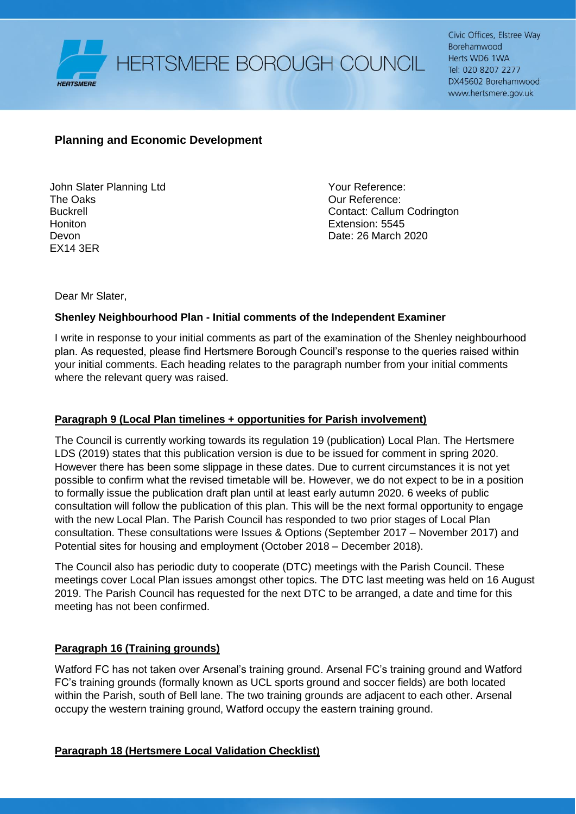

HERTSMERE BOROUGH COUNCIL

Civic Offices, Elstree Way Borehamwood Herts WD6 1WA Tel: 020 8207 2277 DX45602 Borehamwood www.hertsmere.gov.uk

# **Planning and Economic Development**

John Slater Planning Ltd The Oaks Buckrell **Honiton** Devon EX14 3ER

Your Reference: Our Reference: Contact: Callum Codrington Extension: 5545 Date: 26 March 2020

Dear Mr Slater,

### **Shenley Neighbourhood Plan - Initial comments of the Independent Examiner**

I write in response to your initial comments as part of the examination of the Shenley neighbourhood plan. As requested, please find Hertsmere Borough Council's response to the queries raised within your initial comments. Each heading relates to the paragraph number from your initial comments where the relevant query was raised.

#### **Paragraph 9 (Local Plan timelines + opportunities for Parish involvement)**

The Council is currently working towards its regulation 19 (publication) Local Plan. The Hertsmere LDS (2019) states that this publication version is due to be issued for comment in spring 2020. However there has been some slippage in these dates. Due to current circumstances it is not yet possible to confirm what the revised timetable will be. However, we do not expect to be in a position to formally issue the publication draft plan until at least early autumn 2020. 6 weeks of public consultation will follow the publication of this plan. This will be the next formal opportunity to engage with the new Local Plan. The Parish Council has responded to two prior stages of Local Plan consultation. These consultations were Issues & Options (September 2017 – November 2017) and Potential sites for housing and employment (October 2018 – December 2018).

The Council also has periodic duty to cooperate (DTC) meetings with the Parish Council. These meetings cover Local Plan issues amongst other topics. The DTC last meeting was held on 16 August 2019. The Parish Council has requested for the next DTC to be arranged, a date and time for this meeting has not been confirmed.

#### **Paragraph 16 (Training grounds)**

Watford FC has not taken over Arsenal's training ground. Arsenal FC's training ground and Watford FC's training grounds (formally known as UCL sports ground and soccer fields) are both located within the Parish, south of Bell lane. The two training grounds are adjacent to each other. Arsenal occupy the western training ground, Watford occupy the eastern training ground.

## **Paragraph 18 (Hertsmere Local Validation Checklist)**